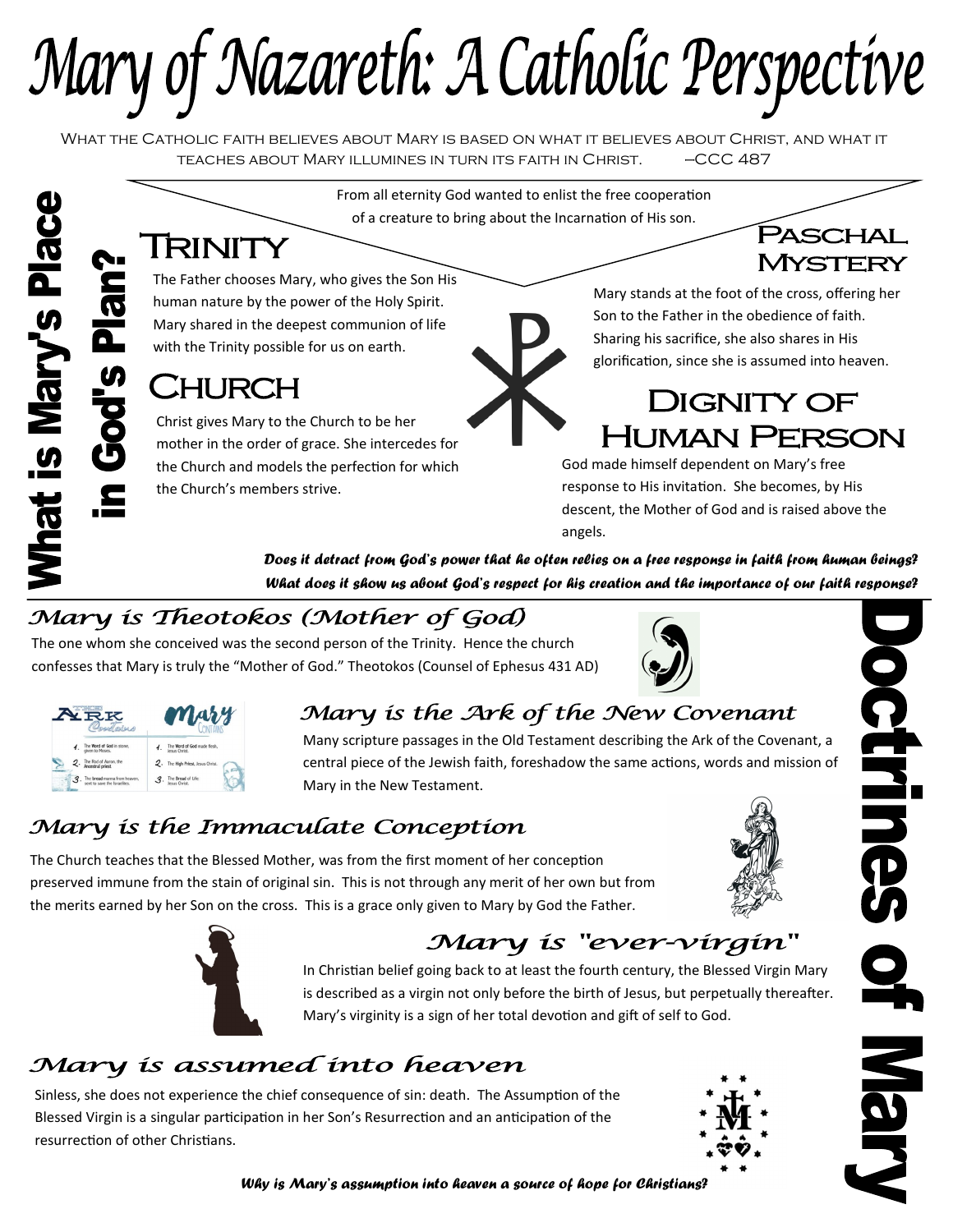Mary of Nazareth: A Catholic Perspective

What the Catholic faith believes about Mary is based on what it believes about Christ, and what it teaches about Mary illumines in turn its faith in Christ. —CCC 487

From all eternity God wanted to enlist the free cooperation of a creature to bring about the Incarnation of His son.

# TRINITY

The Father chooses Mary, who gives the Son His human nature by the power of the Holy Spirit. Mary shared in the deepest communion of life with the Trinity possible for us on earth.

## CHURCH

Christ gives Mary to the Church to be her mother in the order of grace. She intercedes for the Church and models the perfection for which the Church's members strive.

Mary stands at the foot of the cross, offering her Son to the Father in the obedience of faith. Sharing his sacrifice, she also shares in His glorification, since she is assumed into heaven.

PASCHAL

MYSTERY

## **DIGNITY OF HUMAN PERSON**

God made himself dependent on Mary's free response to His invitation. She becomes, by His descent, the Mother of God and is raised above the angels.

*Does it detract from God's power that he often relies on a free response in faith from human beings? What does it show us about God's respect for his creation and the importance of our faith response?*

## Mary is Theotokos (Mother of God)

The one whom she conceived was the second person of the Trinity. Hence the church confesses that Mary is truly the "Mother of God." Theotokos (Counsel of Ephesus 431 AD)



| <b>RK</b><br>misso |                                                              | Mary          |                                              |
|--------------------|--------------------------------------------------------------|---------------|----------------------------------------------|
|                    | 1. The Word of God in stone,<br>oiven to Moses.              | 4.            | The Word of God made flesh.<br>Jesus Christ. |
|                    | 2. The Rod of Aaron, the                                     |               | 2. The High Priest, Jesus Christ.            |
|                    | The bread manna from heaven,<br>sent to save the Israelites. | $\mathcal{A}$ | The Bread of Life:<br>Jesus Christ           |

#### Mary is the Ark of the New Covenant

Many scripture passages in the Old Testament describing the Ark of the Covenant, a central piece of the Jewish faith, foreshadow the same actions, words and mission of Mary in the New Testament.

#### Mary is the Immaculate Conception

The Church teaches that the Blessed Mother, was from the first moment of her conception preserved immune from the stain of original sin. This is not through any merit of her own but from the merits earned by her Son on the cross. This is a grace only given to Mary by God the Father.





## Mary is "ever-virgin"

In Christian belief going back to at least the fourth century, the Blessed Virgin Mary is described as a virgin not only before the birth of Jesus, but perpetually thereafter. Mary's virginity is a sign of her total devotion and gift of self to God.

#### Mary is assumed into heaven

Sinless, she does not experience the chief consequence of sin: death. The Assumption of the Blessed Virgin is a singular participation in her Son's Resurrection and an anticipation of the resurrection of other Christians.





octrines N